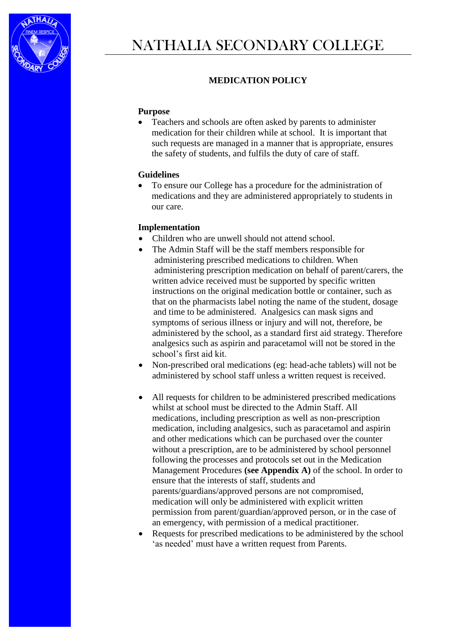

# **MEDICATION POLICY**

#### **Purpose**

 Teachers and schools are often asked by parents to administer medication for their children while at school. It is important that such requests are managed in a manner that is appropriate, ensures the safety of students, and fulfils the duty of care of staff.

#### **Guidelines**

 To ensure our College has a procedure for the administration of medications and they are administered appropriately to students in our care.

### **Implementation**

- Children who are unwell should not attend school.
- The Admin Staff will be the staff members responsible for administering prescribed medications to children. When administering prescription medication on behalf of parent/carers, the written advice received must be supported by specific written instructions on the original medication bottle or container, such as that on the pharmacists label noting the name of the student, dosage and time to be administered. Analgesics can mask signs and symptoms of serious illness or injury and will not, therefore, be administered by the school, as a standard first aid strategy. Therefore analgesics such as aspirin and paracetamol will not be stored in the school's first aid kit.
- Non-prescribed oral medications (eg: head-ache tablets) will not be administered by school staff unless a written request is received.
- All requests for children to be administered prescribed medications whilst at school must be directed to the Admin Staff. All medications, including prescription as well as non-prescription medication, including analgesics, such as paracetamol and aspirin and other medications which can be purchased over the counter without a prescription, are to be administered by school personnel following the processes and protocols set out in the Medication Management Procedures **(see Appendix A)** of the school. In order to ensure that the interests of staff, students and parents/guardians/approved persons are not compromised, medication will only be administered with explicit written permission from parent/guardian/approved person, or in the case of an emergency, with permission of a medical practitioner.
- Requests for prescribed medications to be administered by the school 'as needed' must have a written request from Parents.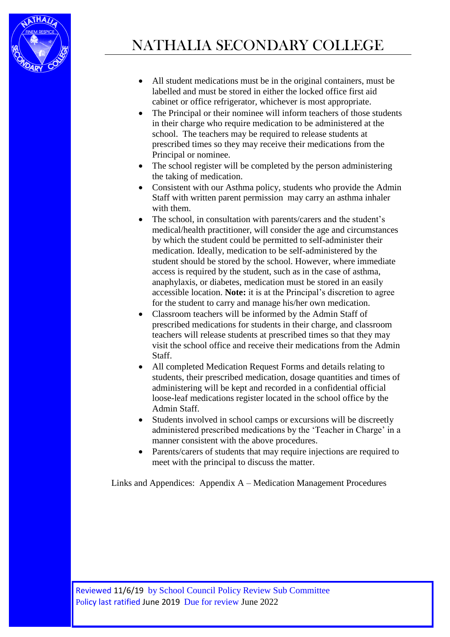

- All student medications must be in the original containers, must be labelled and must be stored in either the locked office first aid cabinet or office refrigerator, whichever is most appropriate.
- The Principal or their nominee will inform teachers of those students in their charge who require medication to be administered at the school. The teachers may be required to release students at prescribed times so they may receive their medications from the Principal or nominee.
- The school register will be completed by the person administering the taking of medication.
- Consistent with our Asthma policy, students who provide the Admin Staff with written parent permission may carry an asthma inhaler with them.
- The school, in consultation with parents/carers and the student's medical/health practitioner, will consider the age and circumstances by which the student could be permitted to self-administer their medication. Ideally, medication to be self-administered by the student should be stored by the school. However, where immediate access is required by the student, such as in the case of asthma, anaphylaxis, or diabetes, medication must be stored in an easily accessible location. **Note:** it is at the Principal's discretion to agree for the student to carry and manage his/her own medication.
- Classroom teachers will be informed by the Admin Staff of prescribed medications for students in their charge, and classroom teachers will release students at prescribed times so that they may visit the school office and receive their medications from the Admin Staff.
- All completed Medication Request Forms and details relating to students, their prescribed medication, dosage quantities and times of administering will be kept and recorded in a confidential official loose-leaf medications register located in the school office by the Admin Staff.
- Students involved in school camps or excursions will be discreetly administered prescribed medications by the 'Teacher in Charge' in a manner consistent with the above procedures.
- Parents/carers of students that may require injections are required to meet with the principal to discuss the matter.

Links and Appendices: Appendix A – Medication Management Procedures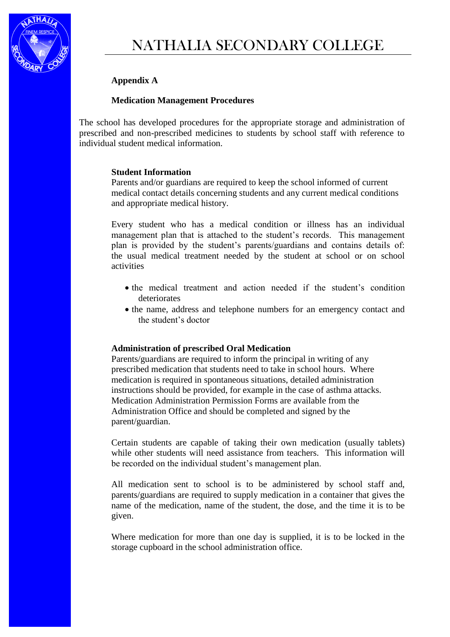

## **Appendix A**

### **Medication Management Procedures**

The school has developed procedures for the appropriate storage and administration of prescribed and non-prescribed medicines to students by school staff with reference to individual student medical information.

#### **Student Information**

Parents and/or guardians are required to keep the school informed of current medical contact details concerning students and any current medical conditions and appropriate medical history.

Every student who has a medical condition or illness has an individual management plan that is attached to the student's records. This management plan is provided by the student's parents/guardians and contains details of: the usual medical treatment needed by the student at school or on school activities

- the medical treatment and action needed if the student's condition deteriorates
- the name, address and telephone numbers for an emergency contact and the student's doctor

### **Administration of prescribed Oral Medication**

Parents/guardians are required to inform the principal in writing of any prescribed medication that students need to take in school hours. Where medication is required in spontaneous situations, detailed administration instructions should be provided, for example in the case of asthma attacks. Medication Administration Permission Forms are available from the Administration Office and should be completed and signed by the parent/guardian.

Certain students are capable of taking their own medication (usually tablets) while other students will need assistance from teachers. This information will be recorded on the individual student's management plan.

All medication sent to school is to be administered by school staff and, parents/guardians are required to supply medication in a container that gives the name of the medication, name of the student, the dose, and the time it is to be given.

Where medication for more than one day is supplied, it is to be locked in the storage cupboard in the school administration office.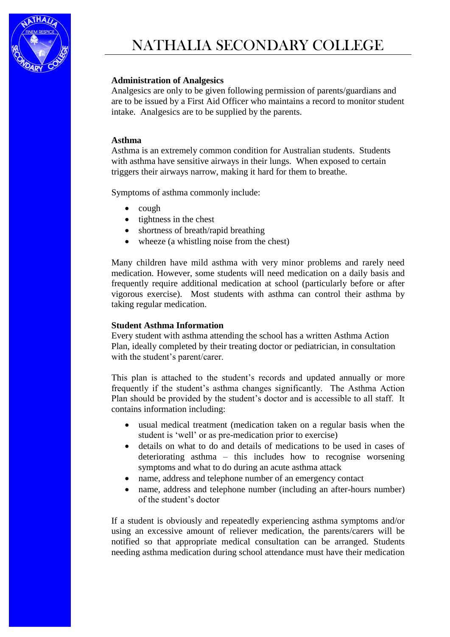

### **Administration of Analgesics**

Analgesics are only to be given following permission of parents/guardians and are to be issued by a First Aid Officer who maintains a record to monitor student intake. Analgesics are to be supplied by the parents.

### **Asthma**

Asthma is an extremely common condition for Australian students. Students with asthma have sensitive airways in their lungs. When exposed to certain triggers their airways narrow, making it hard for them to breathe.

Symptoms of asthma commonly include:

- $\bullet$  cough
- $\bullet$  tightness in the chest
- shortness of breath/rapid breathing
- wheeze (a whistling noise from the chest)

Many children have mild asthma with very minor problems and rarely need medication. However, some students will need medication on a daily basis and frequently require additional medication at school (particularly before or after vigorous exercise). Most students with asthma can control their asthma by taking regular medication.

### **Student Asthma Information**

Every student with asthma attending the school has a written Asthma Action Plan, ideally completed by their treating doctor or pediatrician, in consultation with the student's parent/carer.

This plan is attached to the student's records and updated annually or more frequently if the student's asthma changes significantly. The Asthma Action Plan should be provided by the student's doctor and is accessible to all staff. It contains information including:

- usual medical treatment (medication taken on a regular basis when the student is 'well' or as pre-medication prior to exercise)
- details on what to do and details of medications to be used in cases of deteriorating asthma – this includes how to recognise worsening symptoms and what to do during an acute asthma attack
- name, address and telephone number of an emergency contact
- name, address and telephone number (including an after-hours number) of the student's doctor

If a student is obviously and repeatedly experiencing asthma symptoms and/or using an excessive amount of reliever medication, the parents/carers will be notified so that appropriate medical consultation can be arranged. Students needing asthma medication during school attendance must have their medication